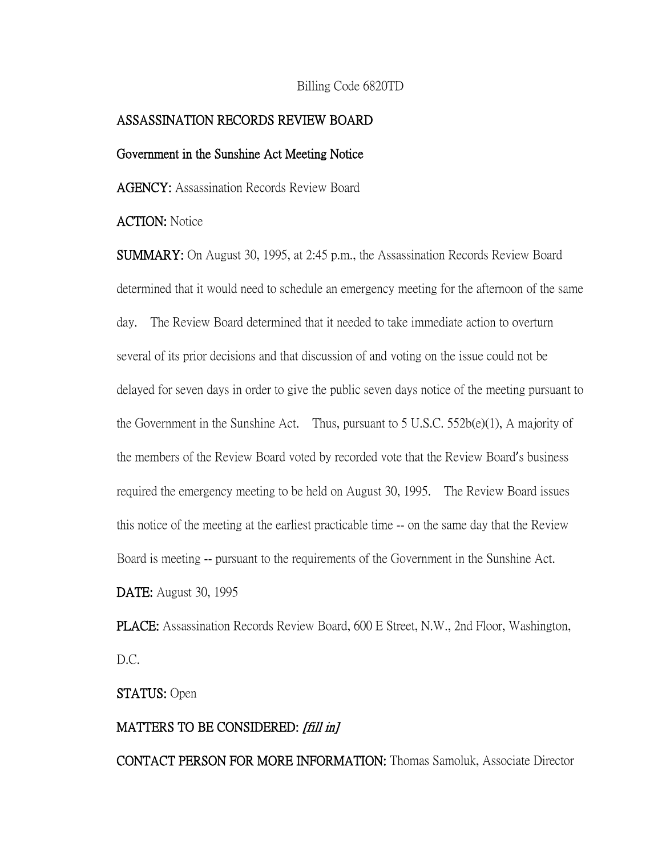### Billing Code 6820TD

### ASSASSINATION RECORDS REVIEW BOARD

#### Government in the Sunshine Act Meeting Notice

AGENCY: Assassination Records Review Board

# ACTION: Notice

SUMMARY: On August 30, 1995, at 2:45 p.m., the Assassination Records Review Board determined that it would need to schedule an emergency meeting for the afternoon of the same day. The Review Board determined that it needed to take immediate action to overturn several of its prior decisions and that discussion of and voting on the issue could not be delayed for seven days in order to give the public seven days notice of the meeting pursuant to the Government in the Sunshine Act. Thus, pursuant to 5 U.S.C.  $552b(e)(1)$ , A majority of the members of the Review Board voted by recorded vote that the Review Board's business required the emergency meeting to be held on August 30, 1995. The Review Board issues this notice of the meeting at the earliest practicable time -- on the same day that the Review Board is meeting -- pursuant to the requirements of the Government in the Sunshine Act. DATE: August 30, 1995

PLACE: Assassination Records Review Board, 600 E Street, N.W., 2nd Floor, Washington, D.C.

STATUS: Open

## MATTERS TO BE CONSIDERED: [fill in]

CONTACT PERSON FOR MORE INFORMATION: Thomas Samoluk, Associate Director